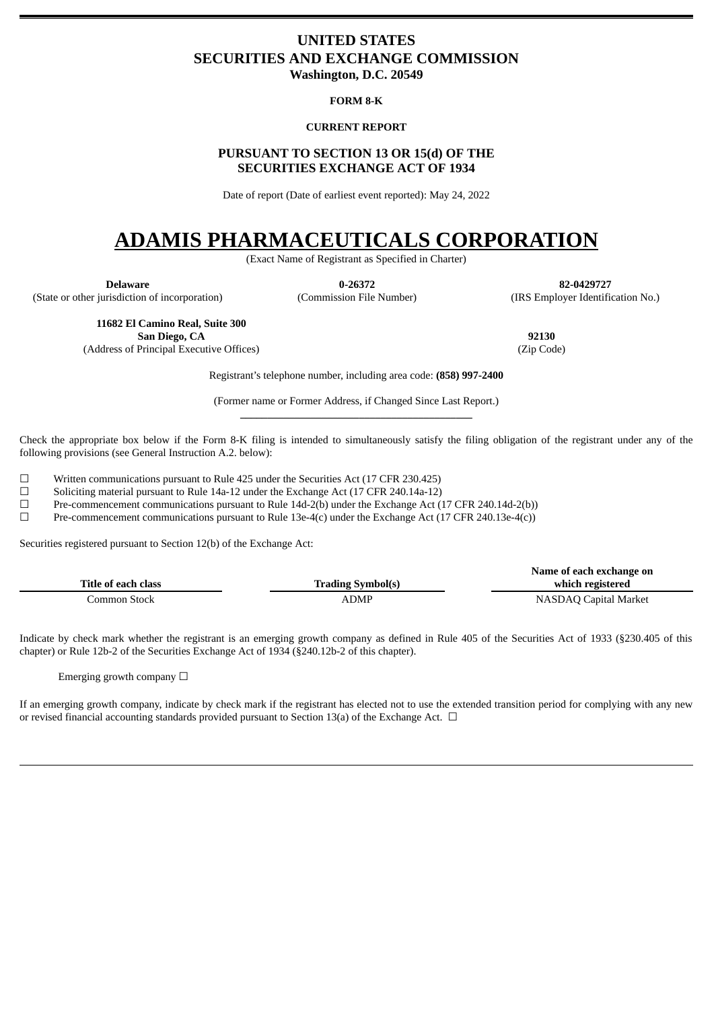# <span id="page-0-0"></span>**UNITED STATES SECURITIES AND EXCHANGE COMMISSION**

**Washington, D.C. 20549**

### **FORM 8-K**

## **CURRENT REPORT**

# **PURSUANT TO SECTION 13 OR 15(d) OF THE SECURITIES EXCHANGE ACT OF 1934**

Date of report (Date of earliest event reported): May 24, 2022

# **ADAMIS PHARMACEUTICALS CORPORATION**

(Exact Name of Registrant as Specified in Charter)

(State or other jurisdiction of incorporation) (Commission File Number) (IRS Employer Identification No.)

**Delaware 0-26372 82-0429727**

**11682 El Camino Real, Suite 300 San Diego, CA 92130**

(Address of Principal Executive Offices) (Zip Code)

Registrant's telephone number, including area code: **(858) 997-2400**

(Former name or Former Address, if Changed Since Last Report.) **\_\_\_\_\_\_\_\_\_\_\_\_\_\_\_\_\_\_\_\_\_\_\_\_\_\_\_\_\_\_\_\_\_\_\_\_\_\_\_\_\_\_\_**

Check the appropriate box below if the Form 8-K filing is intended to simultaneously satisfy the filing obligation of the registrant under any of the following provisions (see General Instruction A.2. below):

 $\Box$  Written communications pursuant to Rule 425 under the Securities Act (17 CFR 230.425)<br>Soliciting material pursuant to Rule 14a-12 under the Exchange Act (17 CFR 240.14a-12)

Soliciting material pursuant to Rule 14a-12 under the Exchange Act (17 CFR 240.14a-12)

☐ Pre-commencement communications pursuant to Rule 14d-2(b) under the Exchange Act (17 CFR 240.14d-2(b))

☐ Pre-commencement communications pursuant to Rule 13e-4(c) under the Exchange Act (17 CFR 240.13e-4(c))

Securities registered pursuant to Section 12(b) of the Exchange Act:

|                     |                          | Name of each exchange on |
|---------------------|--------------------------|--------------------------|
| Title of each class | <b>Trading Symbol(s)</b> | which registered         |
| Common Stock        | ADMP                     | NASDAQ Capital Market    |

Indicate by check mark whether the registrant is an emerging growth company as defined in Rule 405 of the Securities Act of 1933 (§230.405 of this chapter) or Rule 12b-2 of the Securities Exchange Act of 1934 (§240.12b-2 of this chapter).

Emerging growth company  $\Box$ 

If an emerging growth company, indicate by check mark if the registrant has elected not to use the extended transition period for complying with any new or revised financial accounting standards provided pursuant to Section 13(a) of the Exchange Act.  $\Box$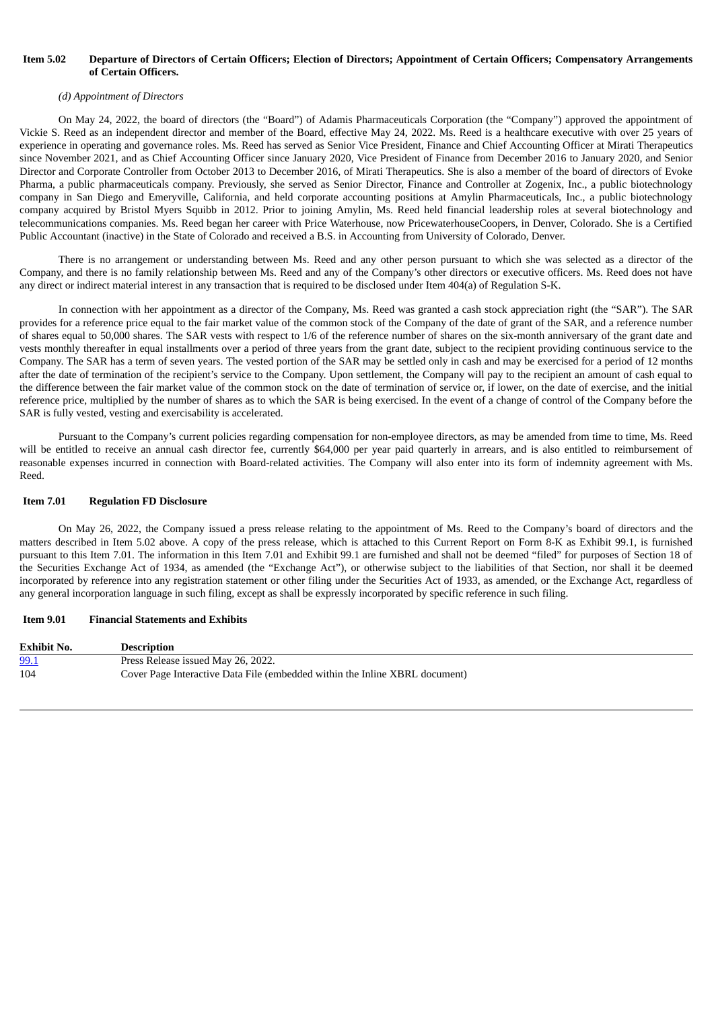### Item 5.02 Departure of Directors of Certain Officers; Election of Directors; Appointment of Certain Officers; Compensatory Arrangements **of Certain Officers.**

### *(d) Appointment of Directors*

On May 24, 2022, the board of directors (the "Board") of Adamis Pharmaceuticals Corporation (the "Company") approved the appointment of Vickie S. Reed as an independent director and member of the Board, effective May 24, 2022. Ms. Reed is a healthcare executive with over 25 years of experience in operating and governance roles. Ms. Reed has served as Senior Vice President, Finance and Chief Accounting Officer at Mirati Therapeutics since November 2021, and as Chief Accounting Officer since January 2020, Vice President of Finance from December 2016 to January 2020, and Senior Director and Corporate Controller from October 2013 to December 2016, of Mirati Therapeutics. She is also a member of the board of directors of Evoke Pharma, a public pharmaceuticals company. Previously, she served as Senior Director, Finance and Controller at Zogenix, Inc., a public biotechnology company in San Diego and Emeryville, California, and held corporate accounting positions at Amylin Pharmaceuticals, Inc., a public biotechnology company acquired by Bristol Myers Squibb in 2012. Prior to joining Amylin, Ms. Reed held financial leadership roles at several biotechnology and telecommunications companies. Ms. Reed began her career with Price Waterhouse, now PricewaterhouseCoopers, in Denver, Colorado. She is a Certified Public Accountant (inactive) in the State of Colorado and received a B.S. in Accounting from University of Colorado, Denver.

There is no arrangement or understanding between Ms. Reed and any other person pursuant to which she was selected as a director of the Company, and there is no family relationship between Ms. Reed and any of the Company's other directors or executive officers. Ms. Reed does not have any direct or indirect material interest in any transaction that is required to be disclosed under Item 404(a) of Regulation S-K.

In connection with her appointment as a director of the Company, Ms. Reed was granted a cash stock appreciation right (the "SAR"). The SAR provides for a reference price equal to the fair market value of the common stock of the Company of the date of grant of the SAR, and a reference number of shares equal to 50,000 shares. The SAR vests with respect to 1/6 of the reference number of shares on the six-month anniversary of the grant date and vests monthly thereafter in equal installments over a period of three years from the grant date, subject to the recipient providing continuous service to the Company. The SAR has a term of seven years. The vested portion of the SAR may be settled only in cash and may be exercised for a period of 12 months after the date of termination of the recipient's service to the Company. Upon settlement, the Company will pay to the recipient an amount of cash equal to the difference between the fair market value of the common stock on the date of termination of service or, if lower, on the date of exercise, and the initial reference price, multiplied by the number of shares as to which the SAR is being exercised. In the event of a change of control of the Company before the SAR is fully vested, vesting and exercisability is accelerated.

Pursuant to the Company's current policies regarding compensation for non-employee directors, as may be amended from time to time, Ms. Reed will be entitled to receive an annual cash director fee, currently \$64,000 per year paid quarterly in arrears, and is also entitled to reimbursement of reasonable expenses incurred in connection with Board-related activities. The Company will also enter into its form of indemnity agreement with Ms. Reed.

#### **Item 7.01 Regulation FD Disclosure**

On May 26, 2022, the Company issued a press release relating to the appointment of Ms. Reed to the Company's board of directors and the matters described in Item 5.02 above. A copy of the press release, which is attached to this Current Report on Form 8-K as Exhibit 99.1, is furnished pursuant to this Item 7.01. The information in this Item 7.01 and Exhibit 99.1 are furnished and shall not be deemed "filed" for purposes of Section 18 of the Securities Exchange Act of 1934, as amended (the "Exchange Act"), or otherwise subject to the liabilities of that Section, nor shall it be deemed incorporated by reference into any registration statement or other filing under the Securities Act of 1933, as amended, or the Exchange Act, regardless of any general incorporation language in such filing, except as shall be expressly incorporated by specific reference in such filing.

#### **Item 9.01 Financial Statements and Exhibits**

| <b>Exhibit No.</b> | <b>Description</b>                                                          |
|--------------------|-----------------------------------------------------------------------------|
| 99.1               | Press Release issued May 26, 2022.                                          |
| 104                | Cover Page Interactive Data File (embedded within the Inline XBRL document) |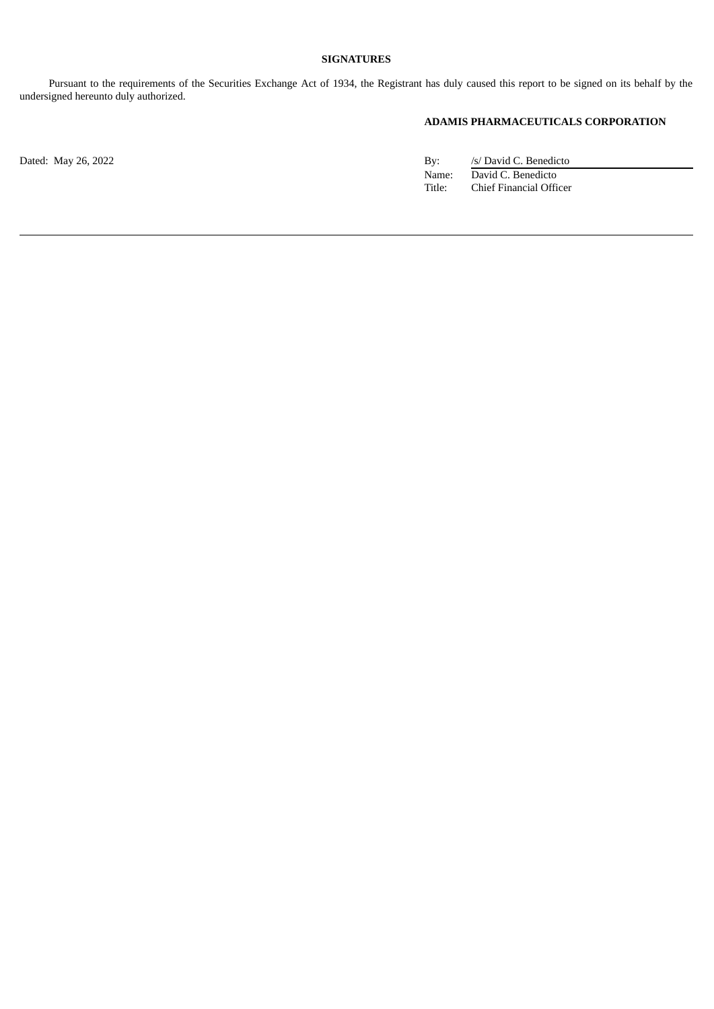# **SIGNATURES**

Pursuant to the requirements of the Securities Exchange Act of 1934, the Registrant has duly caused this report to be signed on its behalf by the undersigned hereunto duly authorized.

## **ADAMIS PHARMACEUTICALS CORPORATION**

Dated: May 26, 2022 By: /s/ David C. Benedicto Name: David C. Benedicto Title: Chief Financial Officer